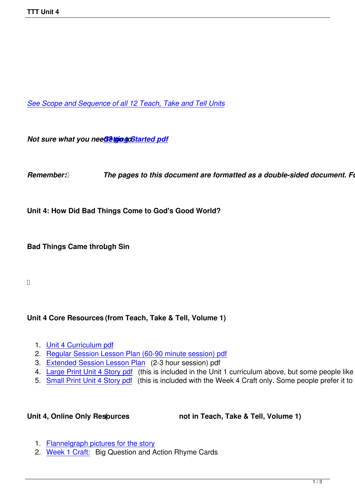*See Scope and Sequence of all 12 Teach, Take and Tell Units*

*Not sure what you need? thing doStarted pdf* 

*Remember: <b><i>[The pages to this d](images/TTT/8 4 11 TTT/New TTT Website Documents/TTT Book portions/2nd GEtting Started.pdf)ocument are formatted as a double-sided document. Follo* 

**Unit 4: How Did Bad Things Come to God's Good World?**

**Bad Things Came through Sin !**

## **Unit 4 Core Resources (from Teach, Take & Tell, Volume 1)**

- 1. Unit 4 Curriculum pdf
- 2. Regular Session Lesson Plan (60-90 minute session) pdf
- 3. Extended Session Lesson Plan (2-3 hour session) pdf
	- 4. [Large Print Unit 4 Sto](images/TTT/8 4 11 TTT/Unit 4/Unit 4/4th Unit 4 TTT Book Curri Portion.pdf)ry pdf (this is included in the Unit 1 curriculum above, but some people like to just
	- 5. [Small Print Unit 4 Story pdf \(this is included with the Wee](images/TTT/8 4 11 TTT/Unit 4/Unit 4/2nd LP R.pdf)k 4 Craft only. Some people prefer it to the

Unit 4, Online Only Resources **(1)** not in Teach, Take & Tell, Volume 1)

- 1. Flannelgraph pictures for the story
- 2. Week 1 Craft: Big Question and Action Rhyme Cards